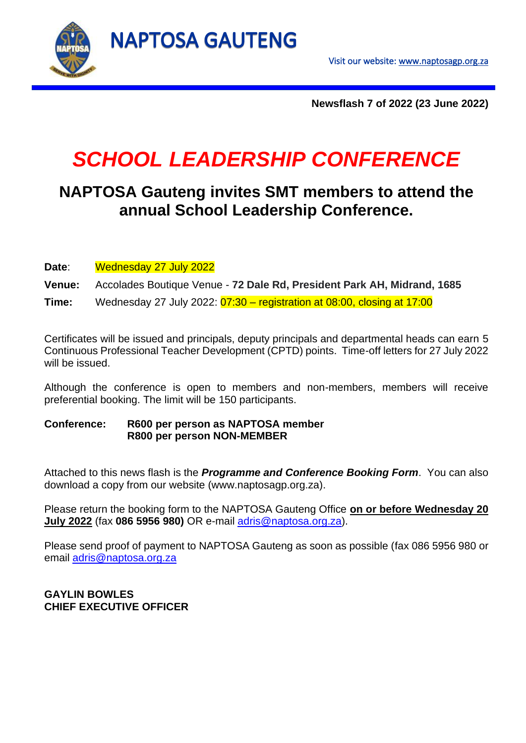

**Newsflash 7 of 2022 (23 June 2022)**

# *SCHOOL LEADERSHIP CONFERENCE*

## **NAPTOSA Gauteng invites SMT members to attend the annual School Leadership Conference.**

**Date**: Wednesday 27 July 2022

**Venue:** Accolades Boutique Venue - **72 Dale Rd, President Park AH, Midrand, 1685**

**Time:** Wednesday 27 July 2022: 07:30 – registration at 08:00, closing at 17:00

Certificates will be issued and principals, deputy principals and departmental heads can earn 5 Continuous Professional Teacher Development (CPTD) points. Time-off letters for 27 July 2022 will be issued.

Although the conference is open to members and non-members, members will receive preferential booking. The limit will be 150 participants.

#### **Conference: R600 per person as NAPTOSA member R800 per person NON-MEMBER**

Attached to this news flash is the *Programme and Conference Booking Form*. You can also download a copy from our website (www.naptosagp.org.za).

Please return the booking form to the NAPTOSA Gauteng Office **on or before Wednesday 20 July 2022** (fax **086 5956 980)** OR e-mail [adris@naptosa.org.za\)](mailto:adris@naptosa.org.za).

Please send proof of payment to NAPTOSA Gauteng as soon as possible (fax 086 5956 980 or email [adris@naptosa.org.za](mailto:adris@naptosa.org.za)

#### **GAYLIN BOWLES CHIEF EXECUTIVE OFFICER**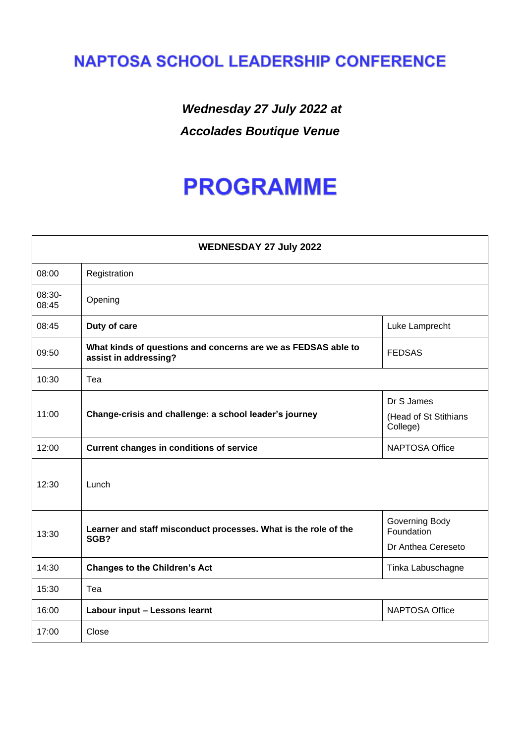# **NAPTOSA SCHOOL LEADERSHIP CONFERENCE**

## *Wednesday 27 July 2022 at Accolades Boutique Venue*

# **PROGRAMME**

| <b>WEDNESDAY 27 July 2022</b> |                                                                                        |                                   |  |  |  |
|-------------------------------|----------------------------------------------------------------------------------------|-----------------------------------|--|--|--|
| 08:00                         | Registration                                                                           |                                   |  |  |  |
| 08:30-<br>08:45               | Opening                                                                                |                                   |  |  |  |
| 08:45                         | Duty of care                                                                           | Luke Lamprecht                    |  |  |  |
| 09:50                         | What kinds of questions and concerns are we as FEDSAS able to<br>assist in addressing? | <b>FEDSAS</b>                     |  |  |  |
| 10:30                         | Tea                                                                                    |                                   |  |  |  |
| 11:00                         | Change-crisis and challenge: a school leader's journey                                 | Dr S James                        |  |  |  |
|                               |                                                                                        | (Head of St Stithians<br>College) |  |  |  |
| 12:00                         | <b>Current changes in conditions of service</b>                                        | <b>NAPTOSA Office</b>             |  |  |  |
| 12:30                         | Lunch                                                                                  |                                   |  |  |  |
| 13:30                         | Learner and staff misconduct processes. What is the role of the<br>SGB?                | Governing Body<br>Foundation      |  |  |  |
|                               |                                                                                        | Dr Anthea Cereseto                |  |  |  |
| 14:30                         | <b>Changes to the Children's Act</b>                                                   | Tinka Labuschagne                 |  |  |  |
| 15:30                         | Tea                                                                                    |                                   |  |  |  |
| 16:00                         | Labour input - Lessons learnt                                                          | <b>NAPTOSA Office</b>             |  |  |  |
| 17:00                         | Close                                                                                  |                                   |  |  |  |